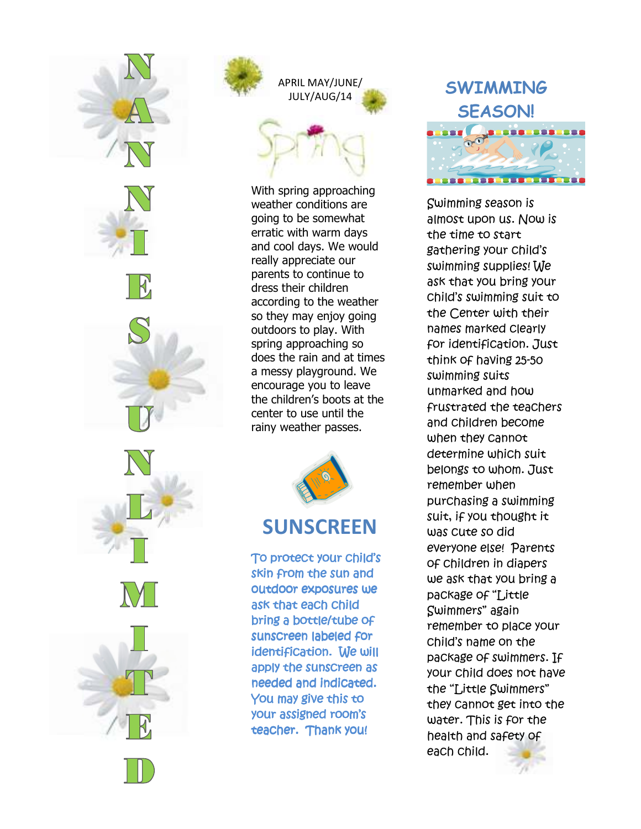



With spring approaching weather conditions are going to be somewhat erratic with warm days and cool days. We would really appreciate our parents to continue to dress their children according to the weather so they may enjoy going outdoors to play. With spring approaching so does the rain and at times a messy playground. We encourage you to leave the children's boots at the center to use until the rainy weather passes.



# **SUNSCREEN**

To protect your child's skin from the sun and outdoor exposures we ask that each child bring a bottle/tube of sunscreen labeled for identification. We will apply the sunscreen as needed and indicated. You may give this to your assigned room's teacher. Thank you!



Swimming season is almost upon us. Now is the time to start gathering your child's swimming supplies! We ask that you bring your child's swimming suit to the Center with their names marked clearly for identification. Just think of having 25-50 swimming suits unmarked and how frustrated the teachers and children become when they cannot determine which suit belongs to whom. Just remember when purchasing a swimming suit, if you thought it was cute so did everyone else! Parents of children in diapers we ask that you bring a package of "Little Swimmers" again remember to place your child's name on the package of swimmers. If your child does not have the "Little Swimmers" they cannot get into the water. This is for the health and safety of each child.



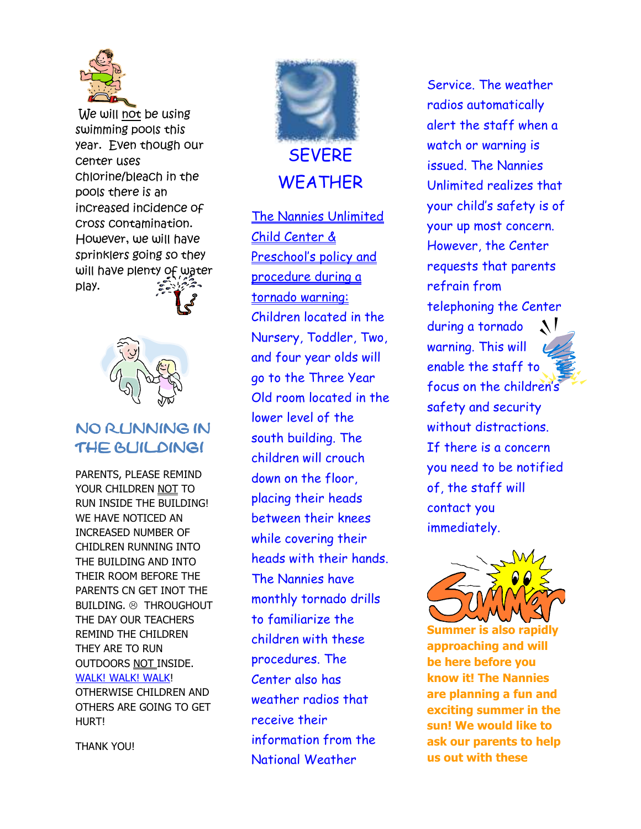

 We will not be using swimming pools this year. Even though our center uses chlorine/bleach in the pools there is an increased incidence of cross contamination. However, we will have sprinklers going so they will have plenty of water play.



# NO RUNNING IN THE BUILDING!

PARENTS, PLEASE REMIND YOUR CHILDREN NOT TO RUN INSIDE THE BUILDING! WE HAVE NOTICED AN INCREASED NUMBER OF CHIDLREN RUNNING INTO THE BUILDING AND INTO THEIR ROOM BEFORE THE PARENTS CN GET INOT THE BUILDING. THROUGHOUT THE DAY OUR TEACHERS REMIND THE CHILDREN THEY ARE TO RUN OUTDOORS NOT INSIDE. WALK! WALK!

OTHERWISE CHILDREN AND OTHERS ARE GOING TO GET HURT!

THANK YOU!



The Nannies Unlimited Child Center & Preschool's policy and procedure during a tornado warning: Children located in the Nursery, Toddler, Two, and four year olds will go to the Three Year Old room located in the lower level of the south building. The children will crouch down on the floor, placing their heads between their knees while covering their heads with their hands. The Nannies have monthly tornado drills to familiarize the children with these procedures. The Center also has weather radios that receive their information from the National Weather

Service. The weather radios automatically alert the staff when a watch or warning is issued. The Nannies Unlimited realizes that your child's safety is of your up most concern. However, the Center requests that parents refrain from telephoning the Center during a tornado warning. This will enable the staff to focus on the children's safety and security without distractions. If there is a concern you need to be notified of, the staff will contact you immediately.



**Summer is also rapidly approaching and will be here before you know it! The Nannies are planning a fun and exciting summer in the sun! We would like to ask our parents to help us out with these**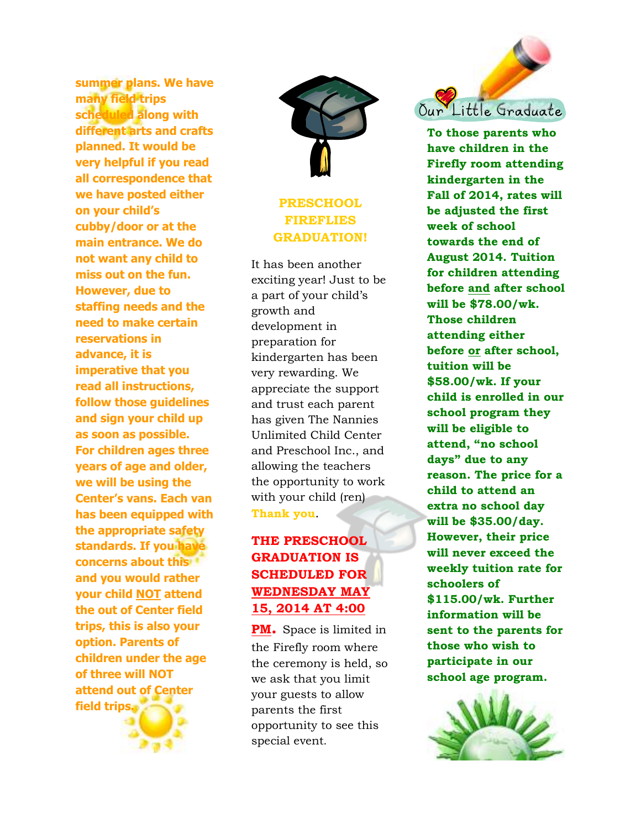**summer plans. We have many field trips scheduled along with different arts and crafts planned. It would be very helpful if you read all correspondence that we have posted either on your child's cubby/door or at the main entrance. We do not want any child to miss out on the fun. However, due to staffing needs and the need to make certain reservations in advance, it is imperative that you read all instructions, follow those guidelines and sign your child up as soon as possible. For children ages three years of age and older, we will be using the Center's vans. Each van has been equipped with the appropriate safety standards. If you have concerns about this and you would rather your child NOT attend the out of Center field trips, this is also your option. Parents of children under the age of three will NOT attend out of Center field trips.**



### **PRESCHOOL FIREFLIES GRADUATION!**

It has been another exciting year! Just to be a part of your child's growth and development in preparation for kindergarten has been very rewarding. We appreciate the support and trust each parent has given The Nannies Unlimited Child Center and Preschool Inc., and allowing the teachers the opportunity to work with your child (ren) **Thank you**.

## **THE PRESCHOOL GRADUATION IS SCHEDULED FOR WEDNESDAY MAY 15, 2014 AT 4:00**

**PM.** Space is limited in the Firefly room where the ceremony is held, so we ask that you limit your guests to allow parents the first opportunity to see this special event.



**To those parents who have children in the Firefly room attending kindergarten in the Fall of 2014, rates will be adjusted the first week of school towards the end of August 2014. Tuition for children attending before and after school will be \$78.00/wk. Those children attending either before or after school, tuition will be \$58.00/wk. If your child is enrolled in our school program they will be eligible to attend, "no school days" due to any reason. The price for a child to attend an extra no school day will be \$35.00/day. However, their price will never exceed the weekly tuition rate for schoolers of \$115.00/wk. Further information will be sent to the parents for those who wish to participate in our school age program.**

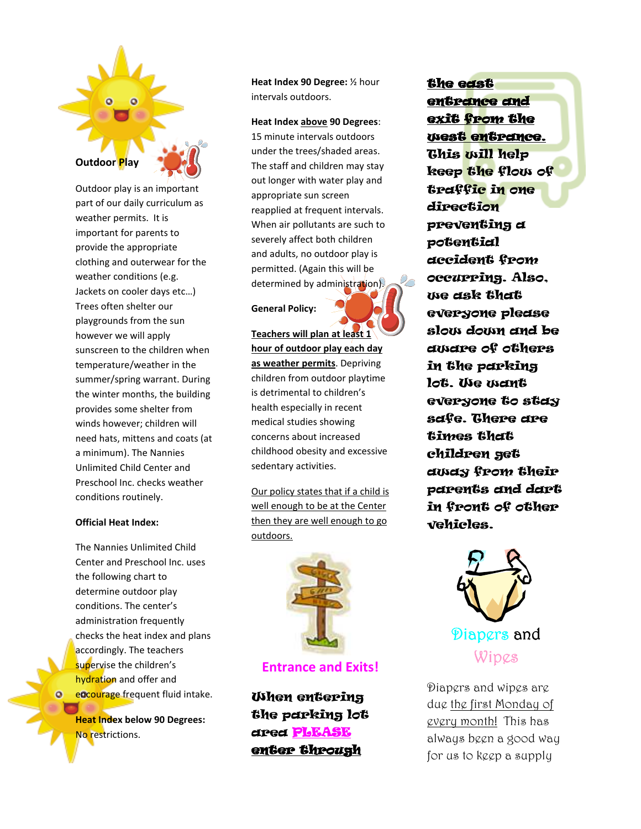

Outdoor play is an important part of our daily curriculum as weather permits. It is important for parents to provide the appropriate clothing and outerwear for the weather conditions (e.g. Jackets on cooler days etc…) Trees often shelter our playgrounds from the sun however we will apply sunscreen to the children when temperature/weather in the summer/spring warrant. During the winter months, the building provides some shelter from winds however; children will need hats, mittens and coats (at a minimum). The Nannies Unlimited Child Center and Preschool Inc. checks weather conditions routinely.

#### **Official Heat Index:**

The Nannies Unlimited Child Center and Preschool Inc. uses the following chart to determine outdoor play conditions. The center's administration frequently checks the heat index and plans accordingly. The teachers supervise the children's hydration and offer and encourage frequent fluid intake.

**Heat Index below 90 Degrees:** No restrictions.

**Heat Index 90 Degree:** ½ hour intervals outdoors.

**Heat Index above 90 Degrees**: 15 minute intervals outdoors under the trees/shaded areas. The staff and children may stay out longer with water play and appropriate sun screen reapplied at frequent intervals. When air pollutants are such to severely affect both children and adults, no outdoor play is permitted. (Again this will be determined by administration).

**General Policy:** 



**Teachers will plan at least 1 hour of outdoor play each day as weather permits**. Depriving children from outdoor playtime is detrimental to children's health especially in recent medical studies showing concerns about increased childhood obesity and excessive sedentary activities.

Our policy states that if a child is well enough to be at the Center then they are well enough to go outdoors.



#### **Entrance and Exits!**

When entering the parking lot area PLEASE enter through

the east entrance and exit from the west entrance. This will help keep the flow of traffic in one direction preventing a potential accident from occurring. Also, we ask that everyone please slow down and be aware of others in the parking lot. We want everyone to stay safe. There are times that children get away from their parents and dart in front of other vehicles.



Diapers and wipes are due the first Monday of every month! This has always been a good way for us to keep a supply